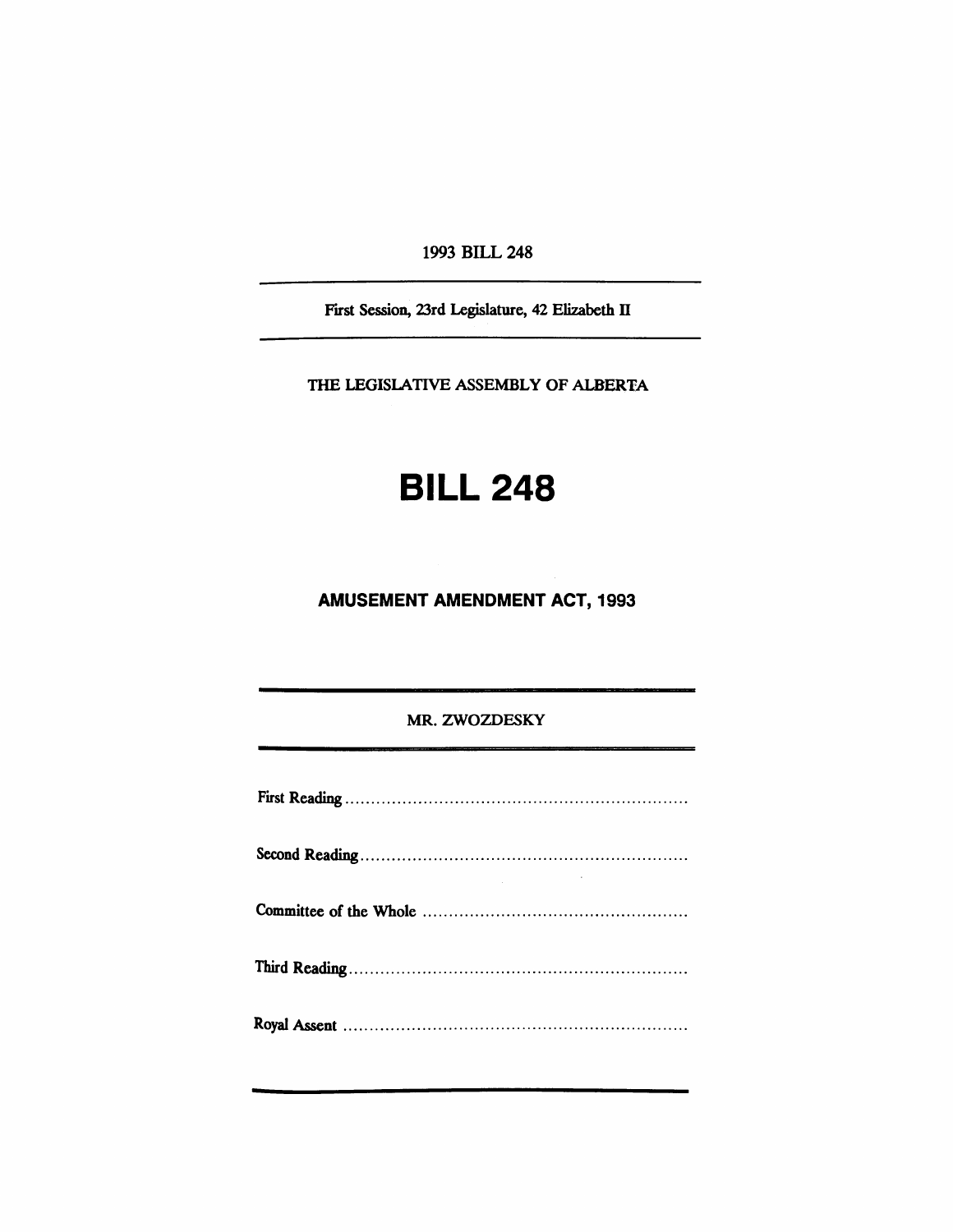1993 BILL 248

First Session, 23rd Legislature, 42 Elizabeth II

THE LEGISlATIVE ASSEMBLY OF ALBERTA

# **BILL 248**

## **AMUSEMENT AMENDMENT ACT, 1993**

## MR. ZWOZDESKY

| $\mathcal{L}(\mathcal{L}(\mathcal{L}))$ and $\mathcal{L}(\mathcal{L}(\mathcal{L}))$ and $\mathcal{L}(\mathcal{L}(\mathcal{L}))$ . Then the contribution of $\mathcal{L}(\mathcal{L})$ |
|---------------------------------------------------------------------------------------------------------------------------------------------------------------------------------------|
|                                                                                                                                                                                       |
|                                                                                                                                                                                       |
|                                                                                                                                                                                       |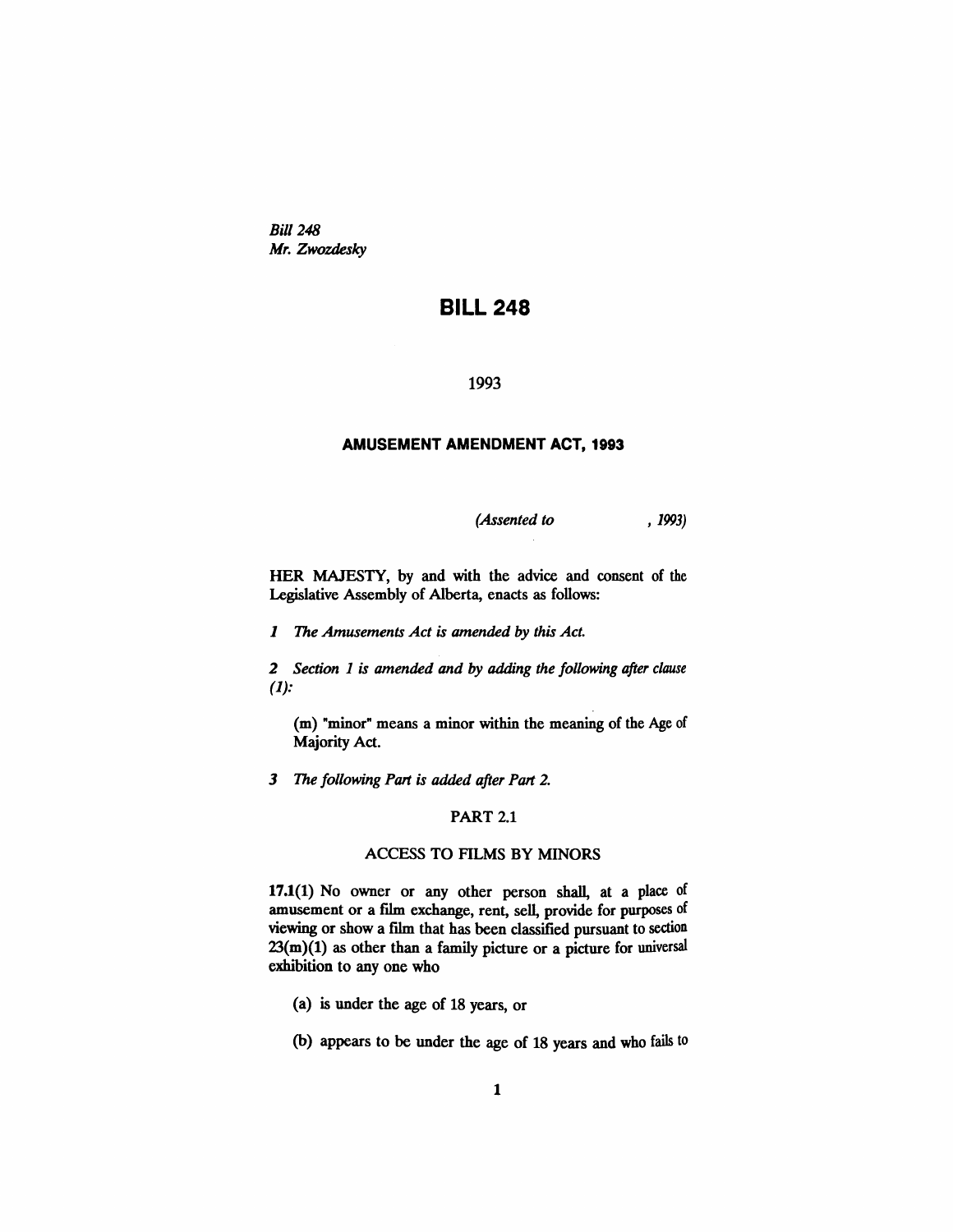*Bill* 248 *Mr. Zwozdesky*

# **BILL 248**

#### 1993

#### **AMUSEMENT AMENDMENT ACT, 1993**

*(Assented to* , 1993)

HER MAJESTY, by and with the advice and consent of the Legislative Assembly of Alberta, enacts as follows:

*1 The Amusements Act is amended* by *this Act.*

*2 Section* 1 *is amended and* by *adding the following after clause*  $(1)$ :

(m) "minor" means a minor within the meaning of the Age of Majority Act.

*3 The following Part is added after Part 2.*

#### PART 2.1

#### ACCESS TO FILMS BY MINORS

17.1(1) No owner or any other person shall, at a place of amusement or a film exchange, rent, sell, provide for purposes of viewing or show a film that has been classified pursuant to section  $23(m)(1)$  as other than a family picture or a picture for universal exhibition to anyone who

- (a) is under the age of 18 years, or
- (b) appears to be under the age of 18 years and who fails to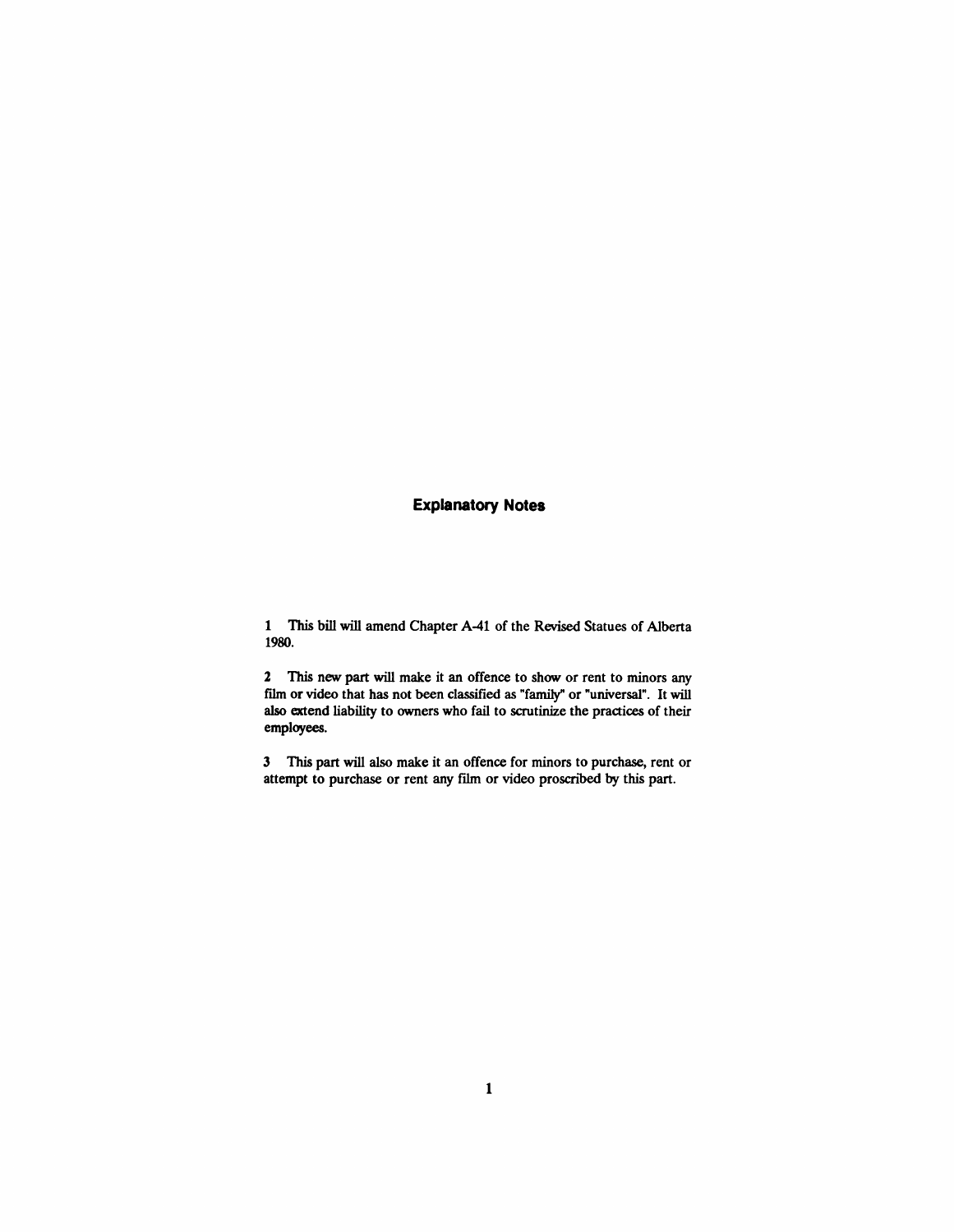### **Explanatory Notes**

1 This bill will amend Chapter A-41 of the Revised Statues of Alberta 1980.

2 This new part will make it an offence to show or rent to minors any film or video that has not been classified as "family" or "universal". It will also extend liability to owners who fail to scrutinize the practices of their employees.

3 This part will also make it an offence for minors to purchase, rent or attempt to purchase or rent any film or video proscribed by this part.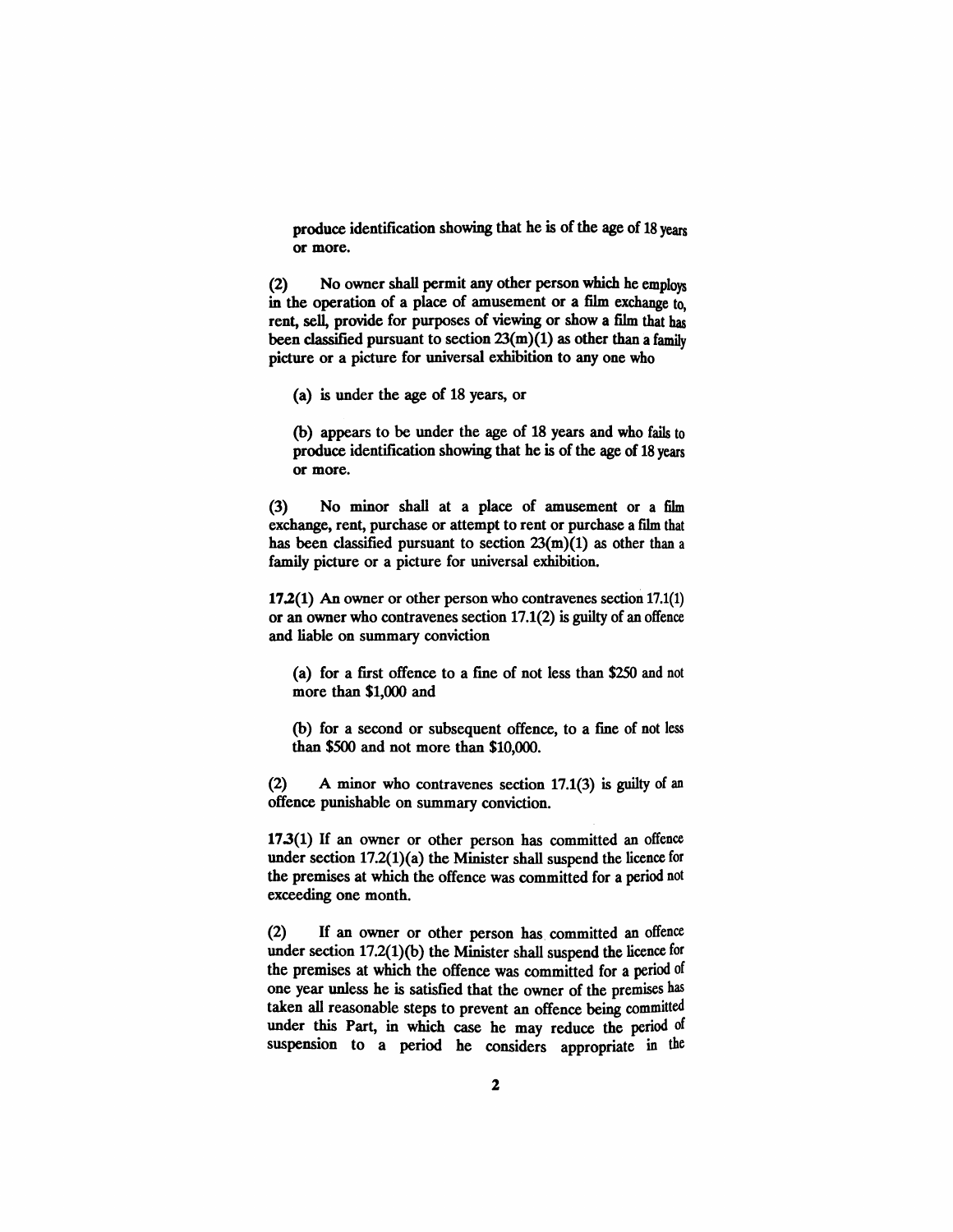produce identification showing that he is of the age of 18 years or more.

(2) No owner shall permit any other person which he employs in the operation of a place of amusement or a film exchange to, rent, sell, provide for purposes of viewing or show a film that has been classified pursuant to section  $23(m)(1)$  as other than a family picture or a picture for universal exhibition to anyone who

(a) is under the age of 18 years, or

(b) appears to be under the age of 18 years and who fails to produce identification showing that he is of the age of 18 years or more.

(3) No minor shall at a place of amusement or a film exchange, rent, purchase or attempt to rent or purchase a fIlm that has been classified pursuant to section  $23(m)(1)$  as other than a family picture or a picture for universal exhibition.

17.2(1) An owner or other person who contravenes section 17.1(1) or an owner who contravenes section 17.1(2) is guilty of an offence and liable on summary conviction

(a) for a first offence to a fme of not less than \$250 and not more than \$1,000 and

(b) for a second or subsequent offence, to a fme of not less than \$500 and not more than \$10,000.

(2) A minor who contravenes section 17.1(3) is guilty of an offence punishable on summary conviction.

17.3(1) If an owner or other person has committed an offence under section 17.2(1)(a) the Minister shall suspend the licence for the premises at which the offence was committed for a period not exceeding one month.

(2) If an owner or other person has committed an offence under section 17.2(1)(b) the Minister shall suspend the licence for the premises at which the offence was committed for a period of one year unless he is satisfied that the owner of the premises has taken all reasonable steps to prevent an offence being committed under this Part, in which case he may reduce the period of suspension to a period he considers appropriate in the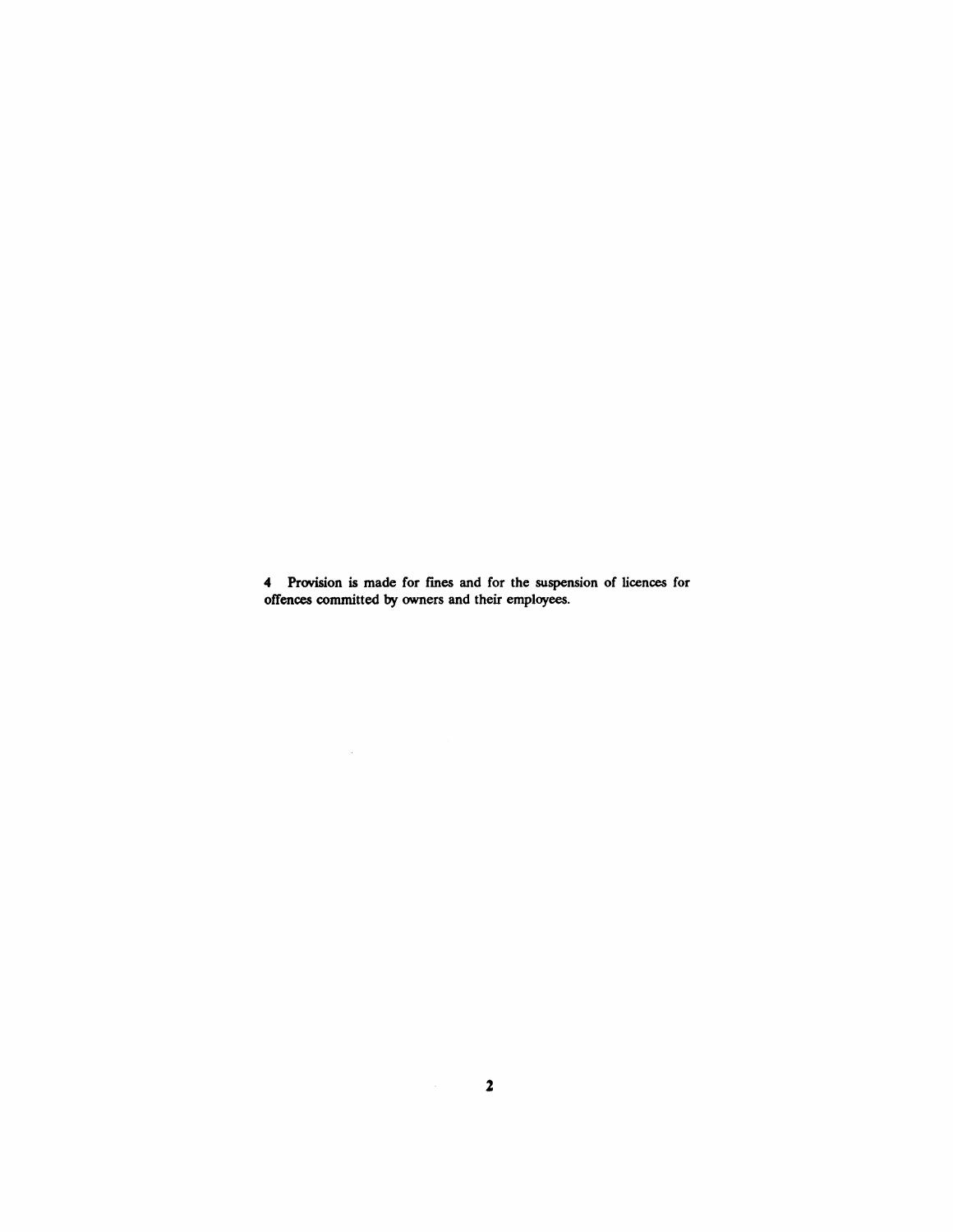4 Provision is made for fmes and for the suspension of licences for offences committed by owners and their employees.

 $\mathcal{L}^{\text{max}}_{\text{max}}$